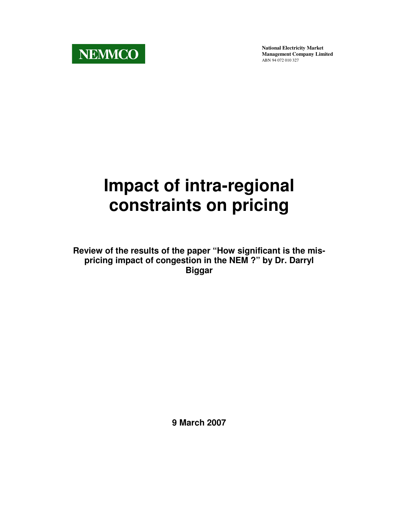

**National Electricity Market Management Company Limited** ABN 94 072 010 327

# **Impact of intra-regional constraints on pricing**

**Review of the results of the paper "How significant is the mispricing impact of congestion in the NEM ?" by Dr. Darryl Biggar** 

**9 March 2007**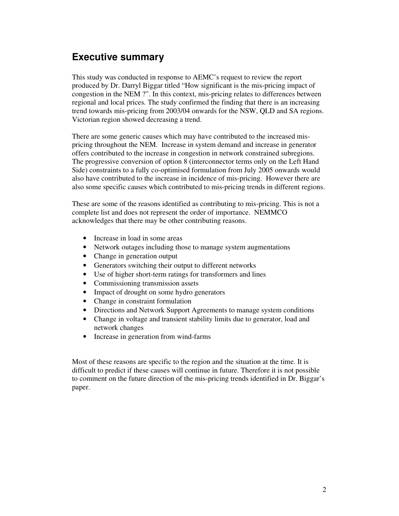# **Executive summary**

This study was conducted in response to AEMC's request to review the report produced by Dr. Darryl Biggar titled "How significant is the mis-pricing impact of congestion in the NEM ?". In this context, mis-pricing relates to differences between regional and local prices. The study confirmed the finding that there is an increasing trend towards mis-pricing from 2003/04 onwards for the NSW, QLD and SA regions. Victorian region showed decreasing a trend.

There are some generic causes which may have contributed to the increased mispricing throughout the NEM. Increase in system demand and increase in generator offers contributed to the increase in congestion in network constrained subregions. The progressive conversion of option 8 (interconnector terms only on the Left Hand Side) constraints to a fully co-optimised formulation from July 2005 onwards would also have contributed to the increase in incidence of mis-pricing. However there are also some specific causes which contributed to mis-pricing trends in different regions.

These are some of the reasons identified as contributing to mis-pricing. This is not a complete list and does not represent the order of importance. NEMMCO acknowledges that there may be other contributing reasons.

- Increase in load in some areas
- Network outages including those to manage system augmentations
- Change in generation output
- Generators switching their output to different networks
- Use of higher short-term ratings for transformers and lines
- Commissioning transmission assets
- Impact of drought on some hydro generators
- Change in constraint formulation
- Directions and Network Support Agreements to manage system conditions
- Change in voltage and transient stability limits due to generator, load and network changes
- Increase in generation from wind-farms

Most of these reasons are specific to the region and the situation at the time. It is difficult to predict if these causes will continue in future. Therefore it is not possible to comment on the future direction of the mis-pricing trends identified in Dr. Biggar's paper.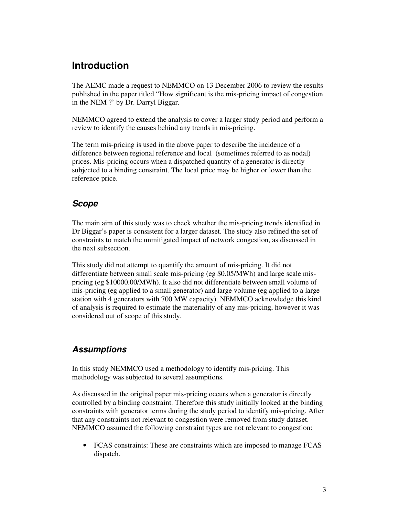# **Introduction**

The AEMC made a request to NEMMCO on 13 December 2006 to review the results published in the paper titled "How significant is the mis-pricing impact of congestion in the NEM ?' by Dr. Darryl Biggar.

NEMMCO agreed to extend the analysis to cover a larger study period and perform a review to identify the causes behind any trends in mis-pricing.

The term mis-pricing is used in the above paper to describe the incidence of a difference between regional reference and local (sometimes referred to as nodal) prices. Mis-pricing occurs when a dispatched quantity of a generator is directly subjected to a binding constraint. The local price may be higher or lower than the reference price.

#### **Scope**

The main aim of this study was to check whether the mis-pricing trends identified in Dr Biggar's paper is consistent for a larger dataset. The study also refined the set of constraints to match the unmitigated impact of network congestion, as discussed in the next subsection.

This study did not attempt to quantify the amount of mis-pricing. It did not differentiate between small scale mis-pricing (eg \$0.05/MWh) and large scale mispricing (eg \$10000.00/MWh). It also did not differentiate between small volume of mis-pricing (eg applied to a small generator) and large volume (eg applied to a large station with 4 generators with 700 MW capacity). NEMMCO acknowledge this kind of analysis is required to estimate the materiality of any mis-pricing, however it was considered out of scope of this study.

#### **Assumptions**

In this study NEMMCO used a methodology to identify mis-pricing. This methodology was subjected to several assumptions.

As discussed in the original paper mis-pricing occurs when a generator is directly controlled by a binding constraint. Therefore this study initially looked at the binding constraints with generator terms during the study period to identify mis-pricing. After that any constraints not relevant to congestion were removed from study dataset. NEMMCO assumed the following constraint types are not relevant to congestion:

• FCAS constraints: These are constraints which are imposed to manage FCAS dispatch.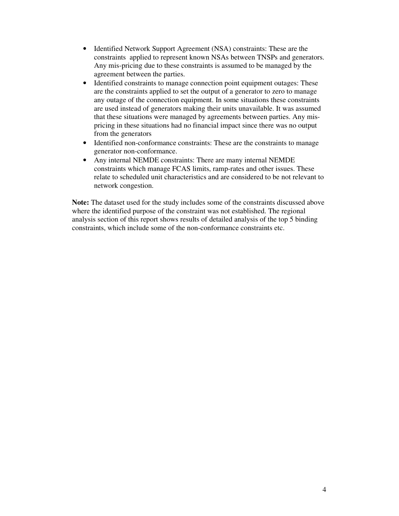- Identified Network Support Agreement (NSA) constraints: These are the constraints applied to represent known NSAs between TNSPs and generators. Any mis-pricing due to these constraints is assumed to be managed by the agreement between the parties.
- Identified constraints to manage connection point equipment outages: These are the constraints applied to set the output of a generator to zero to manage any outage of the connection equipment. In some situations these constraints are used instead of generators making their units unavailable. It was assumed that these situations were managed by agreements between parties. Any mispricing in these situations had no financial impact since there was no output from the generators
- Identified non-conformance constraints: These are the constraints to manage generator non-conformance.
- Any internal NEMDE constraints: There are many internal NEMDE constraints which manage FCAS limits, ramp-rates and other issues. These relate to scheduled unit characteristics and are considered to be not relevant to network congestion.

**Note:** The dataset used for the study includes some of the constraints discussed above where the identified purpose of the constraint was not established. The regional analysis section of this report shows results of detailed analysis of the top 5 binding constraints, which include some of the non-conformance constraints etc.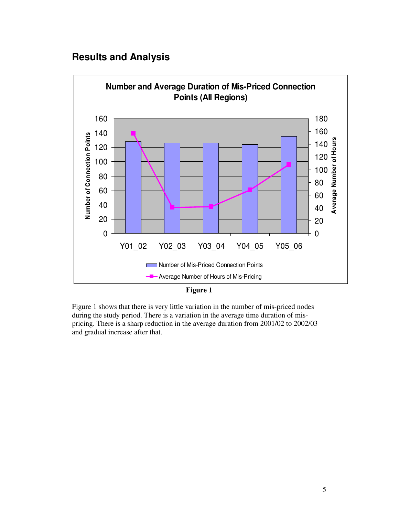# **Results and Analysis**



**Figure 1** 

Figure 1 shows that there is very little variation in the number of mis-priced nodes during the study period. There is a variation in the average time duration of mispricing. There is a sharp reduction in the average duration from 2001/02 to 2002/03 and gradual increase after that.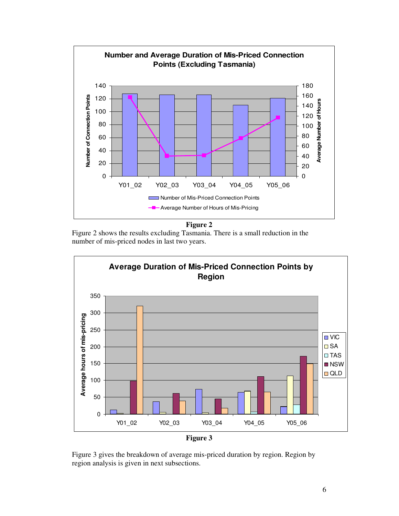

**Figure 2** 

Figure 2 shows the results excluding Tasmania. There is a small reduction in the number of mis-priced nodes in last two years.



Figure 3 gives the breakdown of average mis-priced duration by region. Region by region analysis is given in next subsections.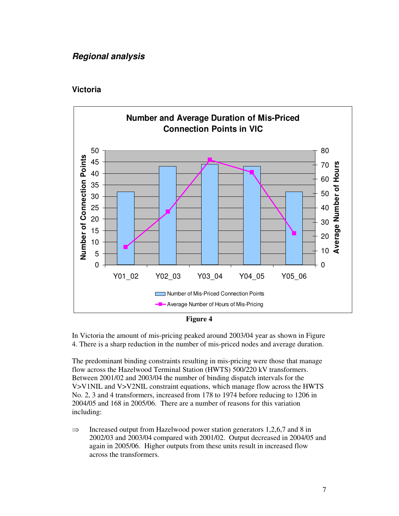#### **Regional analysis**

#### **Victoria**





In Victoria the amount of mis-pricing peaked around 2003/04 year as shown in Figure 4. There is a sharp reduction in the number of mis-priced nodes and average duration.

The predominant binding constraints resulting in mis-pricing were those that manage flow across the Hazelwood Terminal Station (HWTS) 500/220 kV transformers. Between 2001/02 and 2003/04 the number of binding dispatch intervals for the V>V1NIL and V>V2NIL constraint equations, which manage flow across the HWTS No. 2, 3 and 4 transformers, increased from 178 to 1974 before reducing to 1206 in 2004/05 and 168 in 2005/06. There are a number of reasons for this variation including:

 $\Rightarrow$  Increased output from Hazelwood power station generators 1,2,6,7 and 8 in 2002/03 and 2003/04 compared with 2001/02. Output decreased in 2004/05 and again in 2005/06. Higher outputs from these units result in increased flow across the transformers.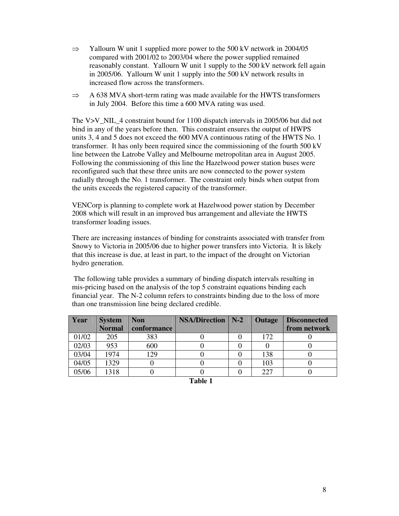- $\Rightarrow$  Yallourn W unit 1 supplied more power to the 500 kV network in 2004/05 compared with 2001/02 to 2003/04 where the power supplied remained reasonably constant. Yallourn W unit 1 supply to the 500 kV network fell again in 2005/06. Yallourn W unit 1 supply into the 500 kV network results in increased flow across the transformers.
- $\Rightarrow$  A 638 MVA short-term rating was made available for the HWTS transformers in July 2004. Before this time a 600 MVA rating was used.

The V>V\_NIL\_4 constraint bound for 1100 dispatch intervals in 2005/06 but did not bind in any of the years before then. This constraint ensures the output of HWPS units 3, 4 and 5 does not exceed the 600 MVA continuous rating of the HWTS No. 1 transformer. It has only been required since the commissioning of the fourth 500 kV line between the Latrobe Valley and Melbourne metropolitan area in August 2005. Following the commissioning of this line the Hazelwood power station buses were reconfigured such that these three units are now connected to the power system radially through the No. 1 transformer. The constraint only binds when output from the units exceeds the registered capacity of the transformer.

VENCorp is planning to complete work at Hazelwood power station by December 2008 which will result in an improved bus arrangement and alleviate the HWTS transformer loading issues.

There are increasing instances of binding for constraints associated with transfer from Snowy to Victoria in 2005/06 due to higher power transfers into Victoria. It is likely that this increase is due, at least in part, to the impact of the drought on Victorian hydro generation.

The following table provides a summary of binding dispatch intervals resulting in mis-pricing based on the analysis of the top 5 constraint equations binding each financial year. The N-2 column refers to constraints binding due to the loss of more than one transmission line being declared credible.

| Year  | <b>System</b> | <b>Non</b>  | <b>NSA/Direction</b>   N-2 | <b>Outage</b> | <b>Disconnected</b> |
|-------|---------------|-------------|----------------------------|---------------|---------------------|
|       | <b>Normal</b> | conformance |                            |               | from network        |
| 01/02 | 205           | 383         |                            | 172           |                     |
| 02/03 | 953           | 600         |                            |               |                     |
| 03/04 | 1974          | 129         |                            | 138           |                     |
| 04/05 | 1329          |             |                            | 103           |                     |
| 05/06 | 1318          |             |                            | 227           |                     |

| able |  |
|------|--|
|      |  |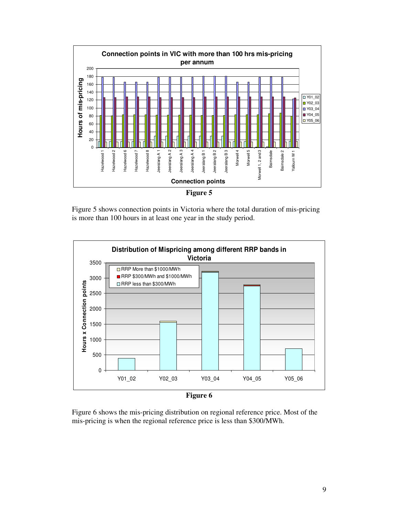

Figure 5 shows connection points in Victoria where the total duration of mis-pricing is more than 100 hours in at least one year in the study period.



Figure 6 shows the mis-pricing distribution on regional reference price. Most of the mis-pricing is when the regional reference price is less than \$300/MWh.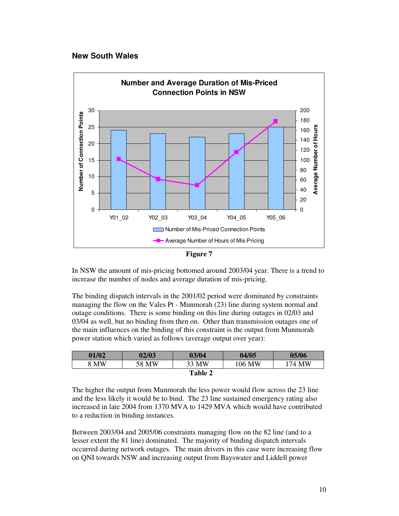#### **New South Wales**



**Figure 7** 

In NSW the amount of mis-pricing bottomed around 2003/04 year. There is a trend to increase the number of nodes and average duration of mis-pricing.

The binding dispatch intervals in the 2001/02 period were dominated by constraints managing the flow on the Vales Pt - Munmorah (23) line during system normal and outage conditions. There is some binding on this line during outages in 02/03 and 03/04 as well, but no binding from then on. Other than transmission outages one of the main influences on the binding of this constraint is the output from Munmorah power station which varied as follows (average output over year):

| 01/02 | 02/03 | 03/04          | 04/05  | 05/06              |
|-------|-------|----------------|--------|--------------------|
| 8 MW  | 58 MW | 33 MW          | 106 MW | <sup>1</sup> 74 MW |
|       |       | <b>Table 2</b> |        |                    |

The higher the output from Munmorah the less power would flow across the 23 line and the less likely it would be to bind. The 23 line sustained emergency rating also increased in late 2004 from 1370 MVA to 1429 MVA which would have contributed to a reduction in binding instances.

Between 2003/04 and 2005/06 constraints managing flow on the 82 line (and to a lesser extent the 81 line) dominated. The majority of binding dispatch intervals occurred during network outages. The main drivers in this case were increasing flow on QNI towards NSW and increasing output from Bayswater and Liddell power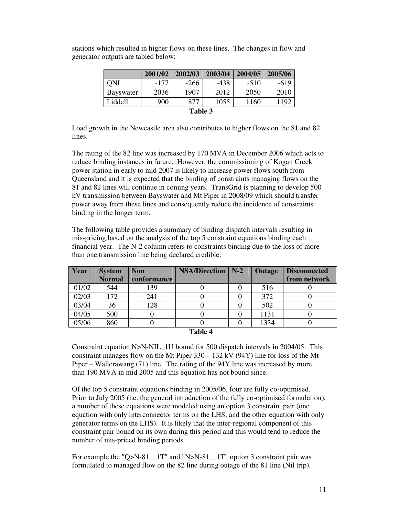|                  | 2001/02 | 2002/03 | 2003/04 | 2004/05 | 2005/06 |  |
|------------------|---------|---------|---------|---------|---------|--|
| ONI              | $-177$  | $-266$  | $-438$  | $-510$  | $-619$  |  |
| <b>Bayswater</b> | 2036    | 1907    | 2012    | 2050    | 2010    |  |
| Liddell          | 900     | 877     | 1055    | 1160    | 1192    |  |
| Table 3          |         |         |         |         |         |  |

stations which resulted in higher flows on these lines. The changes in flow and generator outputs are tabled below:

Load growth in the Newcastle area also contributes to higher flows on the 81 and 82 lines.

The rating of the 82 line was increased by 170 MVA in December 2006 which acts to reduce binding instances in future. However, the commissioning of Kogan Creek power station in early to mid 2007 is likely to increase power flows south from Queensland and it is expected that the binding of constraints managing flows on the 81 and 82 lines will continue in coming years. TransGrid is planning to develop 500 kV transmission between Bayswater and Mt Piper in 2008/09 which should transfer power away from these lines and consequently reduce the incidence of constraints binding in the longer term.

The following table provides a summary of binding dispatch intervals resulting in mis-pricing based on the analysis of the top 5 constraint equations binding each financial year. The N-2 column refers to constraints binding due to the loss of more than one transmission line being declared credible.

| Year  | <b>System</b> | <b>Non</b>  | <b>NSA/Direction</b> | $\mid$ N-2 | <b>Outage</b> | <b>Disconnected</b> |
|-------|---------------|-------------|----------------------|------------|---------------|---------------------|
|       | <b>Normal</b> | conformance |                      |            |               | from network        |
| 01/02 | 544           | 139         |                      |            | 516           |                     |
| 02/03 | 172           | 241         |                      |            | 372           |                     |
| 03/04 | 36            | 128         |                      |            | 502           |                     |
| 04/05 | 500           |             |                      |            | 1131          |                     |
| 05/06 | 860           |             |                      |            | 1334          |                     |

| `able |  |
|-------|--|
|-------|--|

Constraint equation N>N-NIL\_1U bound for 500 dispatch intervals in 2004/05. This constraint manages flow on the Mt Piper  $330 - 132$  kV (94Y) line for loss of the Mt Piper – Wallerawang (71) line. The rating of the 94Y line was increased by more than 190 MVA in mid 2005 and this equation has not bound since.

Of the top 5 constraint equations binding in 2005/06, four are fully co-optimised. Prior to July 2005 (i.e. the general introduction of the fully co-optimised formulation), a number of these equations were modeled using an option 3 constraint pair (one equation with only interconnector terms on the LHS, and the other equation with only generator terms on the LHS). It is likely that the inter-regional component of this constraint pair bound on its own during this period and this would tend to reduce the number of mis-priced binding periods.

For example the "Q>N-81\_1T" and "N>N-81\_1T" option 3 constraint pair was formulated to managed flow on the 82 line during outage of the 81 line (Nil trip).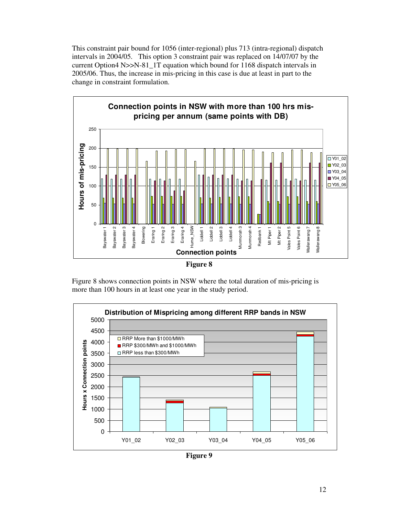This constraint pair bound for 1056 (inter-regional) plus 713 (intra-regional) dispatch intervals in 2004/05. This option 3 constraint pair was replaced on 14/07/07 by the current Option4 N>>N-81\_1T equation which bound for 1168 dispatch intervals in 2005/06. Thus, the increase in mis-pricing in this case is due at least in part to the change in constraint formulation.



**Figure 8** 

Figure 8 shows connection points in NSW where the total duration of mis-pricing is more than 100 hours in at least one year in the study period.



**Figure 9**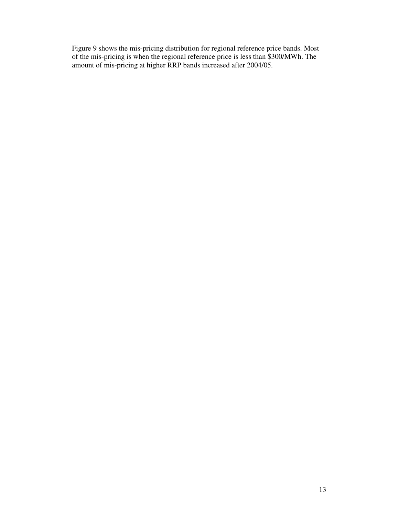Figure 9 shows the mis-pricing distribution for regional reference price bands. Most of the mis-pricing is when the regional reference price is less than \$300/MWh. The amount of mis-pricing at higher RRP bands increased after 2004/05.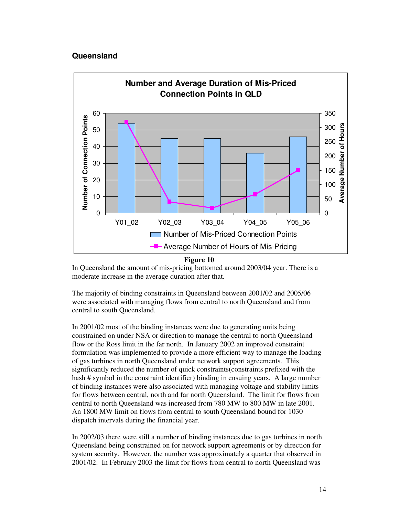#### **Queensland**



**Figure 10** 

In Queensland the amount of mis-pricing bottomed around 2003/04 year. There is a moderate increase in the average duration after that.

The majority of binding constraints in Queensland between 2001/02 and 2005/06 were associated with managing flows from central to north Queensland and from central to south Queensland.

In 2001/02 most of the binding instances were due to generating units being constrained on under NSA or direction to manage the central to north Queensland flow or the Ross limit in the far north. In January 2002 an improved constraint formulation was implemented to provide a more efficient way to manage the loading of gas turbines in north Queensland under network support agreements. This significantly reduced the number of quick constraints(constraints prefixed with the hash # symbol in the constraint identifier) binding in ensuing years. A large number of binding instances were also associated with managing voltage and stability limits for flows between central, north and far north Queensland. The limit for flows from central to north Queensland was increased from 780 MW to 800 MW in late 2001. An 1800 MW limit on flows from central to south Queensland bound for 1030 dispatch intervals during the financial year.

In 2002/03 there were still a number of binding instances due to gas turbines in north Queensland being constrained on for network support agreements or by direction for system security. However, the number was approximately a quarter that observed in 2001/02. In February 2003 the limit for flows from central to north Queensland was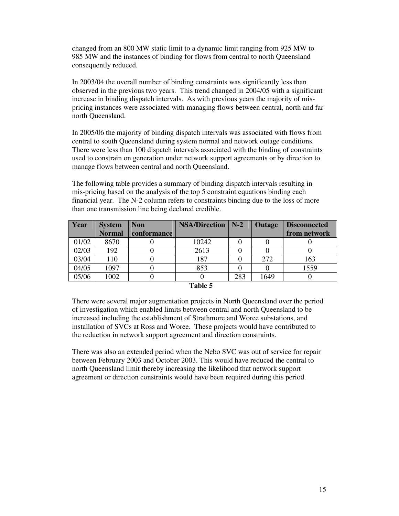changed from an 800 MW static limit to a dynamic limit ranging from 925 MW to 985 MW and the instances of binding for flows from central to north Queensland consequently reduced.

In 2003/04 the overall number of binding constraints was significantly less than observed in the previous two years. This trend changed in 2004/05 with a significant increase in binding dispatch intervals. As with previous years the majority of mispricing instances were associated with managing flows between central, north and far north Queensland.

In 2005/06 the majority of binding dispatch intervals was associated with flows from central to south Queensland during system normal and network outage conditions. There were less than 100 dispatch intervals associated with the binding of constraints used to constrain on generation under network support agreements or by direction to manage flows between central and north Queensland.

The following table provides a summary of binding dispatch intervals resulting in mis-pricing based on the analysis of the top 5 constraint equations binding each financial year. The N-2 column refers to constraints binding due to the loss of more than one transmission line being declared credible.

| Year  | <b>System</b> | <b>Non</b>  | <b>NSA/Direction</b> | $N-2$ | Outage | <b>Disconnected</b> |
|-------|---------------|-------------|----------------------|-------|--------|---------------------|
|       | <b>Normal</b> | conformance |                      |       |        | from network        |
| 01/02 | 8670          |             | 10242                |       |        |                     |
| 02/03 | 192           |             | 2613                 |       |        |                     |
| 03/04 | 110           |             | 187                  |       | 272    | 163                 |
| 04/05 | 1097          |             | 853                  |       |        | 1559                |
| 05/06 | 1002          |             |                      | 283   | 1649   |                     |

#### **Table 5**

There were several major augmentation projects in North Queensland over the period of investigation which enabled limits between central and north Queensland to be increased including the establishment of Strathmore and Woree substations, and installation of SVCs at Ross and Woree. These projects would have contributed to the reduction in network support agreement and direction constraints.

There was also an extended period when the Nebo SVC was out of service for repair between February 2003 and October 2003. This would have reduced the central to north Queensland limit thereby increasing the likelihood that network support agreement or direction constraints would have been required during this period.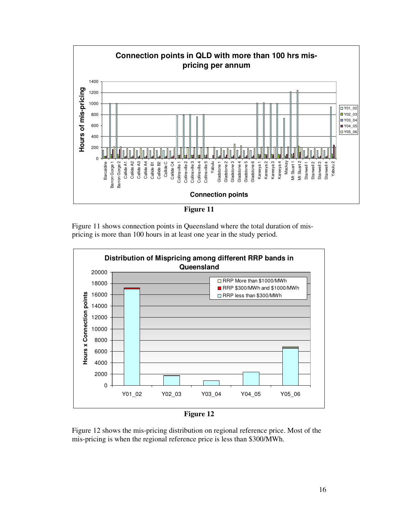

**Figure 11** 

Figure 11 shows connection points in Queensland where the total duration of mispricing is more than 100 hours in at least one year in the study period.





Figure 12 shows the mis-pricing distribution on regional reference price. Most of the mis-pricing is when the regional reference price is less than \$300/MWh.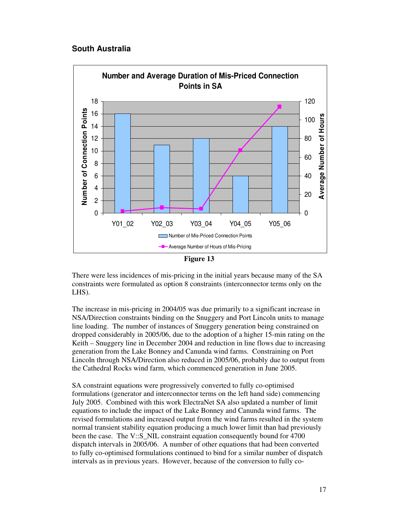#### **South Australia**



**Figure 13** 

There were less incidences of mis-pricing in the initial years because many of the SA constraints were formulated as option 8 constraints (interconnector terms only on the LHS).

The increase in mis-pricing in 2004/05 was due primarily to a significant increase in NSA/Direction constraints binding on the Snuggery and Port Lincoln units to manage line loading. The number of instances of Snuggery generation being constrained on dropped considerably in 2005/06, due to the adoption of a higher 15-min rating on the Keith – Snuggery line in December 2004 and reduction in line flows due to increasing generation from the Lake Bonney and Canunda wind farms. Constraining on Port Lincoln through NSA/Direction also reduced in 2005/06, probably due to output from the Cathedral Rocks wind farm, which commenced generation in June 2005.

SA constraint equations were progressively converted to fully co-optimised formulations (generator and interconnector terms on the left hand side) commencing July 2005. Combined with this work ElectraNet SA also updated a number of limit equations to include the impact of the Lake Bonney and Canunda wind farms. The revised formulations and increased output from the wind farms resulted in the system normal transient stability equation producing a much lower limit than had previously been the case. The V::S\_NIL constraint equation consequently bound for 4700 dispatch intervals in 2005/06. A number of other equations that had been converted to fully co-optimised formulations continued to bind for a similar number of dispatch intervals as in previous years. However, because of the conversion to fully co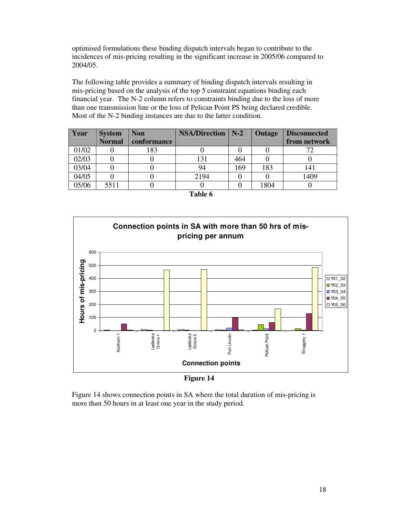optimised formulations these binding dispatch intervals began to contribute to the incidences of mis-pricing resulting in the significant increase in 2005/06 compared to 2004/05.

The following table provides a summary of binding dispatch intervals resulting in mis-pricing based on the analysis of the top 5 constraint equations binding each financial year. The N-2 column refers to constraints binding due to the loss of more than one transmission line or the loss of Pelican Point PS being declared credible. Most of the N-2 binding instances are due to the latter condition.

| Year  | <b>System</b> | <b>Non</b>  | <b>NSA/Direction</b> | $N-2$ | <b>Outage</b> | <b>Disconnected</b> |
|-------|---------------|-------------|----------------------|-------|---------------|---------------------|
|       | <b>Normal</b> | conformance |                      |       |               | from network        |
| 01/02 |               | 183         |                      |       |               |                     |
| 02/03 |               |             | 131                  | 464   |               |                     |
| 03/04 |               |             | 94                   | 169   | 183           | 141                 |
| 04/05 |               |             | 2194                 |       |               | 1409                |
| 05/06 | 5511          |             |                      |       | 1804          |                     |



**Figure 14** 

Figure 14 shows connection points in SA where the total duration of mis-pricing is more than 50 hours in at least one year in the study period.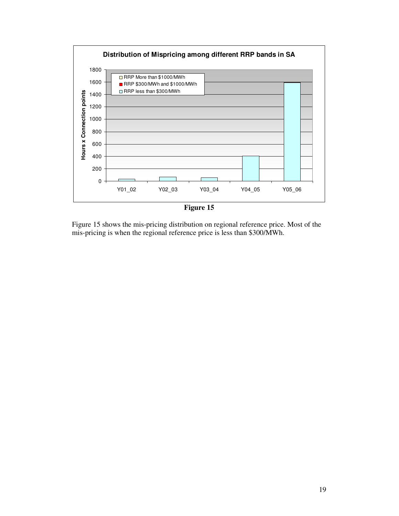

**Figure 15** 

Figure 15 shows the mis-pricing distribution on regional reference price. Most of the mis-pricing is when the regional reference price is less than \$300/MWh.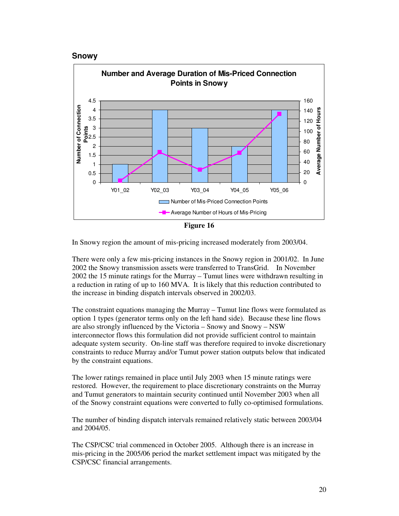



**Figure 16** 

In Snowy region the amount of mis-pricing increased moderately from 2003/04.

There were only a few mis-pricing instances in the Snowy region in 2001/02. In June 2002 the Snowy transmission assets were transferred to TransGrid. In November 2002 the 15 minute ratings for the Murray – Tumut lines were withdrawn resulting in a reduction in rating of up to 160 MVA. It is likely that this reduction contributed to the increase in binding dispatch intervals observed in 2002/03.

The constraint equations managing the Murray – Tumut line flows were formulated as option 1 types (generator terms only on the left hand side). Because these line flows are also strongly influenced by the Victoria – Snowy and Snowy – NSW interconnector flows this formulation did not provide sufficient control to maintain adequate system security. On-line staff was therefore required to invoke discretionary constraints to reduce Murray and/or Tumut power station outputs below that indicated by the constraint equations.

The lower ratings remained in place until July 2003 when 15 minute ratings were restored. However, the requirement to place discretionary constraints on the Murray and Tumut generators to maintain security continued until November 2003 when all of the Snowy constraint equations were converted to fully co-optimised formulations.

The number of binding dispatch intervals remained relatively static between 2003/04 and 2004/05.

The CSP/CSC trial commenced in October 2005. Although there is an increase in mis-pricing in the 2005/06 period the market settlement impact was mitigated by the CSP/CSC financial arrangements.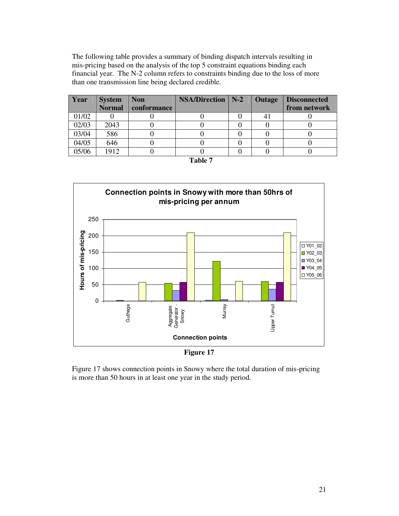The following table provides a summary of binding dispatch intervals resulting in mis-pricing based on the analysis of the top 5 constraint equations binding each financial year. The N-2 column refers to constraints binding due to the loss of more than one transmission line being declared credible.

| <b>Year</b> | <b>System</b> | <b>Non</b>  | <b>NSA/Direction</b>   N-2 | <b>Outage</b> | <b>Disconnected</b> |
|-------------|---------------|-------------|----------------------------|---------------|---------------------|
|             | <b>Normal</b> | conformance |                            |               | from network        |
| 01/02       |               |             |                            |               |                     |
| 02/03       | 2043          |             |                            |               |                     |
| 03/04       | 586           |             |                            |               |                     |
| 04/05       | 646           |             |                            |               |                     |
| 05/06       | 1912          |             |                            |               |                     |

| ı |  |
|---|--|
|---|--|



**Figure 17** 

Figure 17 shows connection points in Snowy where the total duration of mis-pricing is more than 50 hours in at least one year in the study period.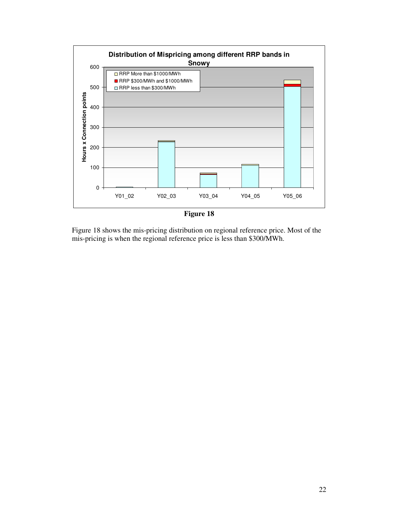

**Figure 18** 

Figure 18 shows the mis-pricing distribution on regional reference price. Most of the mis-pricing is when the regional reference price is less than \$300/MWh.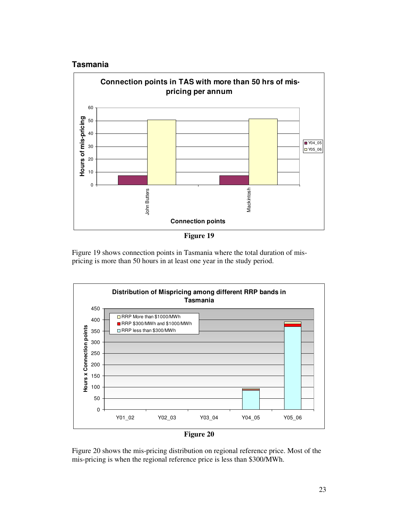#### **Tasmania**



**Figure 19** 

Figure 19 shows connection points in Tasmania where the total duration of mispricing is more than 50 hours in at least one year in the study period.





Figure 20 shows the mis-pricing distribution on regional reference price. Most of the mis-pricing is when the regional reference price is less than \$300/MWh.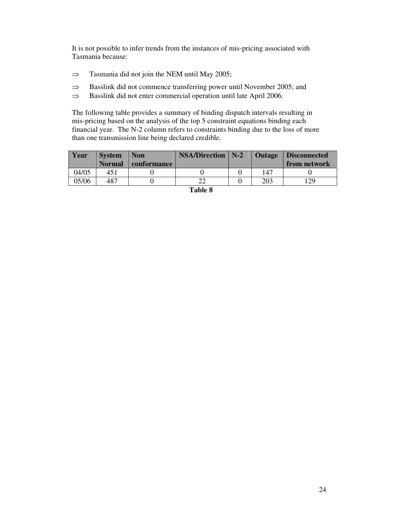It is not possible to infer trends from the instances of mis-pricing associated with Tasmania because:

- ⇒ Tasmania did not join the NEM until May 2005;
- ⇒ Basslink did not commence transferring power until November 2005; and
- ⇒ Basslink did not enter commercial operation until late April 2006.

The following table provides a summary of binding dispatch intervals resulting in mis-pricing based on the analysis of the top 5 constraint equations binding each financial year. The N-2 column refers to constraints binding due to the loss of more than one transmission line being declared credible.

| <b>Year</b> | <b>System</b><br><b>Normal</b> | <b>Non</b><br>conformance | <b>NSA/Direction</b>   N-2 | Outage | Disconnected<br>from network |
|-------------|--------------------------------|---------------------------|----------------------------|--------|------------------------------|
| 04/05       | 451                            |                           |                            | 147    |                              |
| 05/06       | 487                            |                           |                            | 203    | 29                           |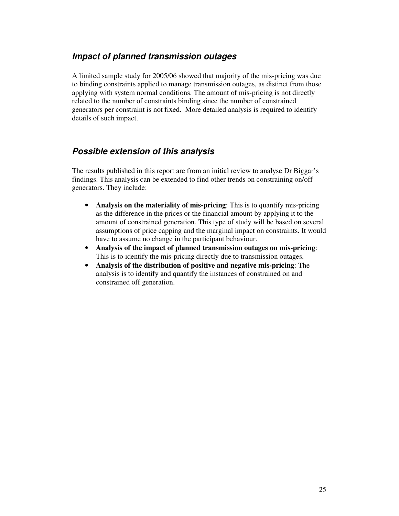#### **Impact of planned transmission outages**

A limited sample study for 2005/06 showed that majority of the mis-pricing was due to binding constraints applied to manage transmission outages, as distinct from those applying with system normal conditions. The amount of mis-pricing is not directly related to the number of constraints binding since the number of constrained generators per constraint is not fixed. More detailed analysis is required to identify details of such impact.

#### **Possible extension of this analysis**

The results published in this report are from an initial review to analyse Dr Biggar's findings. This analysis can be extended to find other trends on constraining on/off generators. They include:

- **Analysis on the materiality of mis-pricing**: This is to quantify mis-pricing as the difference in the prices or the financial amount by applying it to the amount of constrained generation. This type of study will be based on several assumptions of price capping and the marginal impact on constraints. It would have to assume no change in the participant behaviour.
- **Analysis of the impact of planned transmission outages on mis-pricing**: This is to identify the mis-pricing directly due to transmission outages.
- **Analysis of the distribution of positive and negative mis-pricing**: The analysis is to identify and quantify the instances of constrained on and constrained off generation.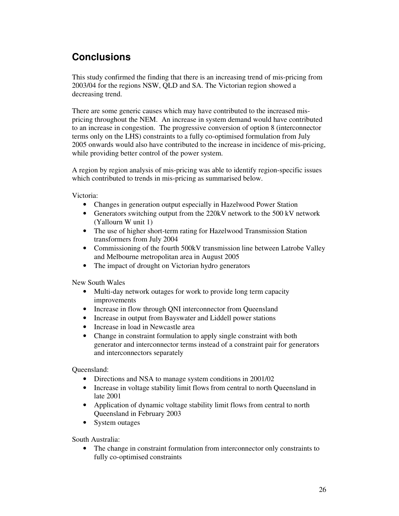# **Conclusions**

This study confirmed the finding that there is an increasing trend of mis-pricing from 2003/04 for the regions NSW, QLD and SA. The Victorian region showed a decreasing trend.

There are some generic causes which may have contributed to the increased mispricing throughout the NEM. An increase in system demand would have contributed to an increase in congestion. The progressive conversion of option 8 (interconnector terms only on the LHS) constraints to a fully co-optimised formulation from July 2005 onwards would also have contributed to the increase in incidence of mis-pricing, while providing better control of the power system.

A region by region analysis of mis-pricing was able to identify region-specific issues which contributed to trends in mis-pricing as summarised below.

Victoria:

- Changes in generation output especially in Hazelwood Power Station
- Generators switching output from the 220kV network to the 500 kV network (Yallourn W unit 1)
- The use of higher short-term rating for Hazelwood Transmission Station transformers from July 2004
- Commissioning of the fourth 500kV transmission line between Latrobe Valley and Melbourne metropolitan area in August 2005
- The impact of drought on Victorian hydro generators

New South Wales

- Multi-day network outages for work to provide long term capacity improvements
- Increase in flow through ONI interconnector from Queensland
- Increase in output from Bayswater and Liddell power stations
- Increase in load in Newcastle area
- Change in constraint formulation to apply single constraint with both generator and interconnector terms instead of a constraint pair for generators and interconnectors separately

Queensland:

- Directions and NSA to manage system conditions in 2001/02
- Increase in voltage stability limit flows from central to north Queensland in late 2001
- Application of dynamic voltage stability limit flows from central to north Queensland in February 2003
- System outages

South Australia:

• The change in constraint formulation from interconnector only constraints to fully co-optimised constraints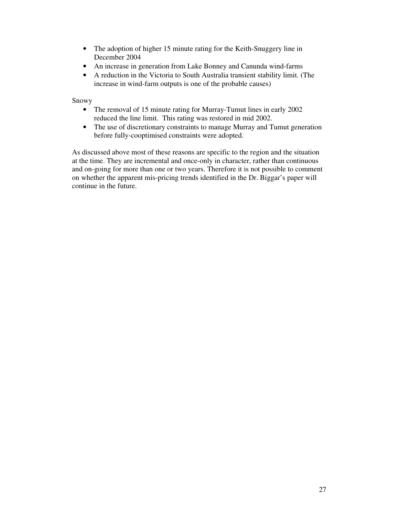- The adoption of higher 15 minute rating for the Keith-Snuggery line in December 2004
- An increase in generation from Lake Bonney and Canunda wind-farms
- A reduction in the Victoria to South Australia transient stability limit. (The increase in wind-farm outputs is one of the probable causes)

Snowy

- The removal of 15 minute rating for Murray-Tumut lines in early 2002 reduced the line limit. This rating was restored in mid 2002.
- The use of discretionary constraints to manage Murray and Tumut generation before fully-cooptimised constraints were adopted.

As discussed above most of these reasons are specific to the region and the situation at the time. They are incremental and once-only in character, rather than continuous and on-going for more than one or two years. Therefore it is not possible to comment on whether the apparent mis-pricing trends identified in the Dr. Biggar's paper will continue in the future.